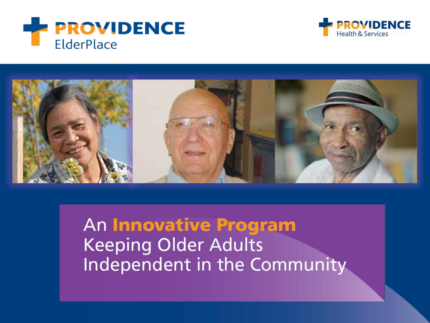





An Innovative Program **Keeping Older Adults** Independent in the Community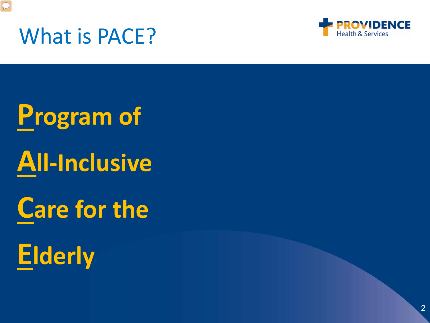

#### What is PACE?



**Program of All-Inclusive**

## **Care for the**

# **Elderly**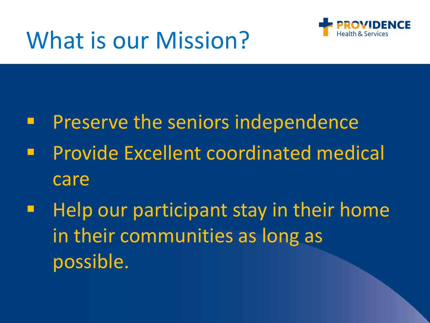



- Preserve the seniors independence
- Provide Excellent coordinated medical care
- Help our participant stay in their home in their communities as long as possible.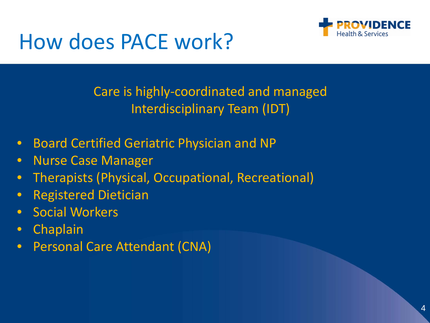

#### How does PACE work?

Care is highly-coordinated and managed Interdisciplinary Team (IDT)

- Board Certified Geriatric Physician and NP
- Nurse Case Manager
- Therapists (Physical, Occupational, Recreational)
- Registered Dietician
- Social Workers
- Chaplain
- Personal Care Attendant (CNA)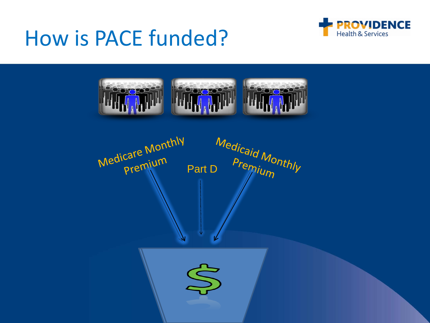#### How is PACE funded?





Medicare Monthly Medicard Monthly licare IVICTO<br>Premium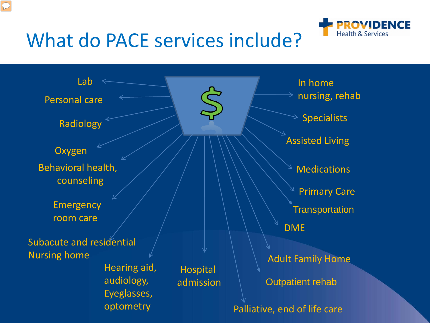

#### What do PACE services include?

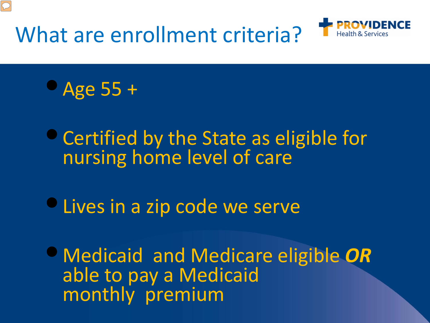What are enrollment criteria?





•Certified by the State as eligible for nursing home level of care

• Lives in a zip code we serve

•Medicaid and Medicare eligible *OR* able to pay a Medicaid monthly premium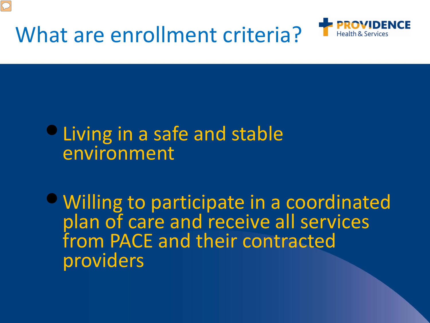



#### •Living in a safe and stable environment

•Willing to participate in a coordinated plan of care and receive all services from PACE and their contracted providers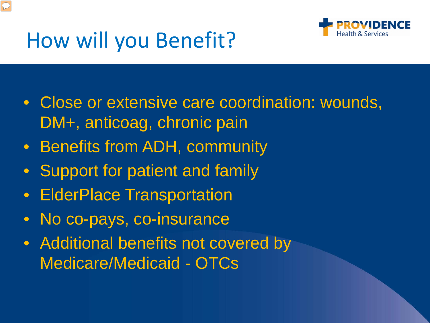

### How will you Benefit?

- Close or extensive care coordination: wounds, DM+, anticoag, chronic pain
- Benefits from ADH, community
- Support for patient and family
- ElderPlace Transportation
- No co-pays, co-insurance
- Additional benefits not covered by Medicare/Medicaid - OTCs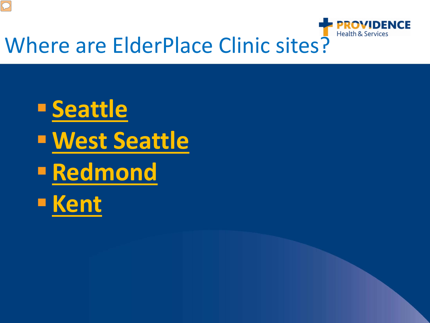

**Seattle West Seattle Redmond Kent**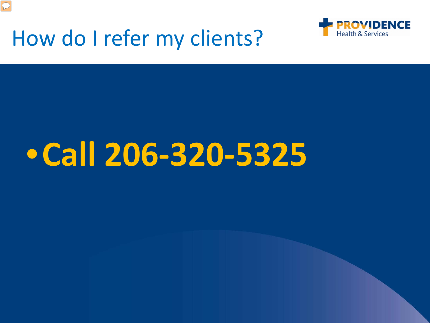

 $\boxed{\bigcirc}$ 



# •**Call 206-320-5325**